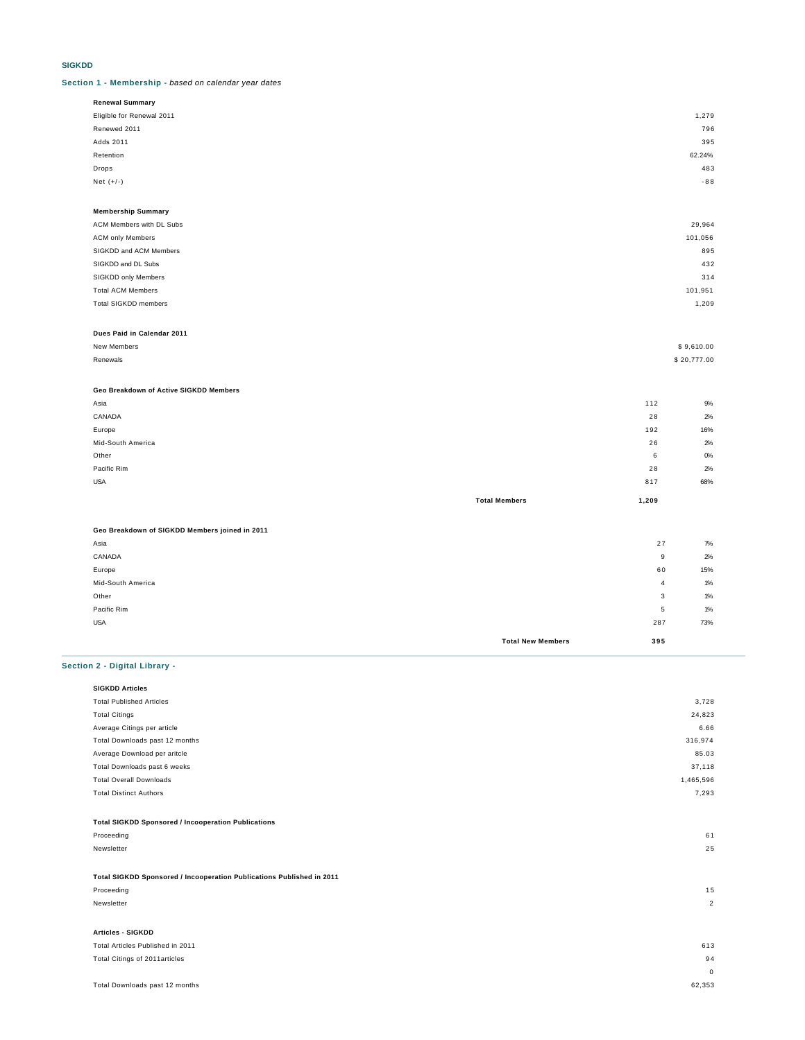#### **SIGKDD**

#### **Section 1 - Membership -** based on calendar year dates

| Renewal Summary           |        |
|---------------------------|--------|
| Eligible for Renewal 2011 | 1,279  |
| Renewed 2011              | 796    |
| Adds 2011                 | 395    |
| Retention                 | 62.24% |
| Drops                     | 483    |
| Net $(+/-)$               | $-88$  |
|                           |        |

| <b>Membership Summary</b> |         |
|---------------------------|---------|
| ACM Members with DL Subs  | 29,964  |
| <b>ACM only Members</b>   | 101,056 |
| SIGKDD and ACM Members    | 895     |
| SIGKDD and DL Subs        | 432     |
| SIGKDD only Members       | 314     |
| <b>Total ACM Members</b>  | 101,951 |
| Total SIGKDD members      | 1,209   |
|                           |         |

#### **Dues Paid in Calendar 2011**

| New Members   | \$9,610.00  |
|---------------|-------------|
| Renewals<br>. | \$20,777.00 |

## **Geo Breakdown of Active SIGKDD Members**

|                   | <b>Total Members</b> | 1,209 |       |
|-------------------|----------------------|-------|-------|
| <b>USA</b>        |                      | 817   | 68%   |
| Pacific Rim       |                      | 28    | 2%    |
| Other             |                      | 6     | $O\%$ |
| Mid-South America |                      | 26    | 2%    |
| Europe            |                      | 192   | 16%   |
| CANADA            |                      | 28    | 2%    |
| Asia              |                      | 112   | 9%    |

# **Geo Breakdown of SIGKDD Members joined in 2011**

| Asia              |                          | 27  | 7%    |
|-------------------|--------------------------|-----|-------|
| CANADA            |                          | 9   | 2%    |
| Europe            |                          | 60  | 15%   |
| Mid-South America |                          | 4   | 1%    |
| Other             |                          | 3   | 1%    |
| Pacific Rim       |                          | 5   | $1\%$ |
| <b>USA</b>        |                          | 287 | 73%   |
|                   | <b>Total New Members</b> | 395 |       |

# **Section 2 - Digital Library -**

| <b>SIGKDD Articles</b>                                     |           |
|------------------------------------------------------------|-----------|
| <b>Total Published Articles</b>                            | 3,728     |
| <b>Total Citings</b>                                       | 24,823    |
| Average Citings per article                                | 6.66      |
| Total Downloads past 12 months                             | 316,974   |
| Average Download per aritcle                               | 85.03     |
| Total Downloads past 6 weeks                               | 37,118    |
| <b>Total Overall Downloads</b>                             | 1,465,596 |
| <b>Total Distinct Authors</b>                              | 7,293     |
|                                                            |           |
| <b>Total SIGKDD Sponsored / Incooperation Publications</b> |           |
| Proceeding                                                 | 61        |
| Newsletter                                                 | 25        |

### **Total SIGKDD Sponsored / Incooperation Publications Published in 2011**

| Proceeding                       | 15            |
|----------------------------------|---------------|
| Newsletter                       | $\mathcal{P}$ |
|                                  |               |
| Articles - SIGKDD                |               |
| Total Articles Published in 2011 | 613           |

## Total Citings of 2011articles 94 0 Total Downloads past 12 months 62,353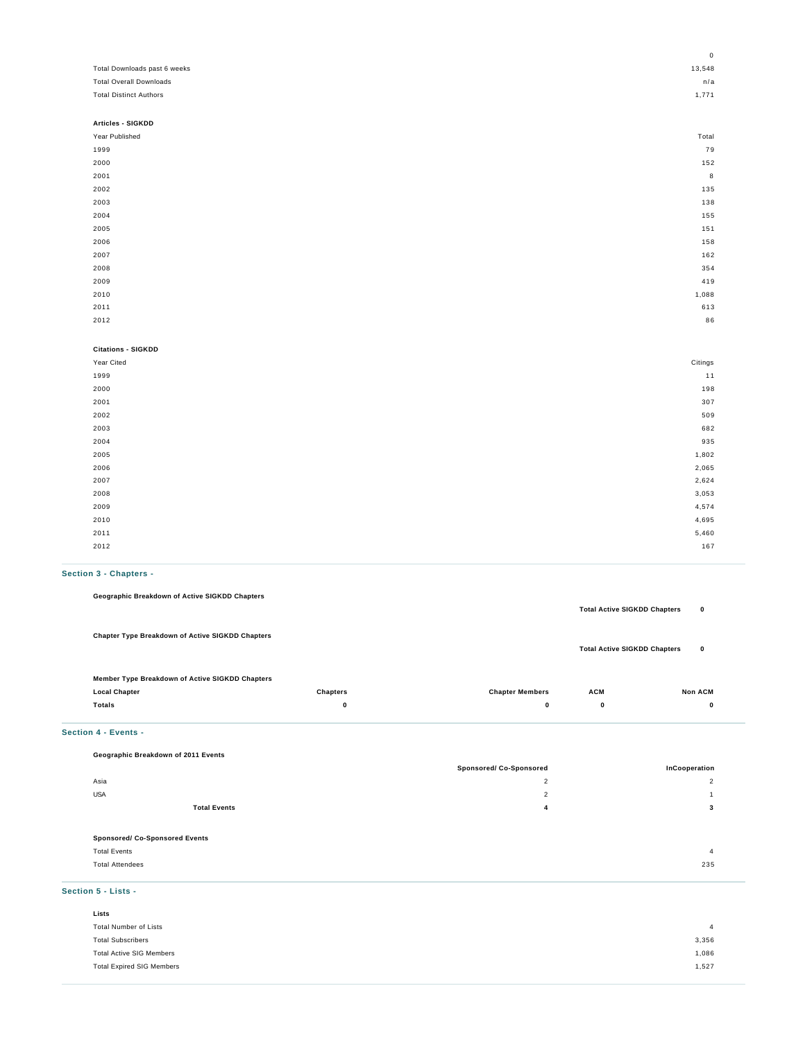|                                | 0       |
|--------------------------------|---------|
| Total Downloads past 6 weeks   | 13,548  |
| <b>Total Overall Downloads</b> | n/a     |
| <b>Total Distinct Authors</b>  | 1,771   |
|                                |         |
| Articles - SIGKDD              |         |
| Year Published                 | Total   |
| 1999                           | 79      |
| 2000                           | 152     |
| 2001                           | 8       |
| 2002                           | 135     |
| 2003                           | 138     |
| 2004                           | 155     |
| 2005                           | 151     |
| 2006                           | 158     |
| 2007                           | 162     |
| 2008                           | 354     |
| 2009                           | 419     |
| 2010                           | 1,088   |
| 2011                           | 613     |
| 2012                           | 86      |
|                                |         |
| <b>Citations - SIGKDD</b>      |         |
| Year Cited                     | Citings |
| 1999                           | 11      |
| 2000                           | 198     |
| 2001                           | 307     |
| 2002                           | 509     |
| 2003                           | 682     |
| 2004                           | 935     |
| 2005                           | 1,802   |
| 2006                           | 2,065   |
| 2007                           | 2,624   |
| 2008                           | 3,053   |
| 2009                           | 4,574   |
| 2010                           | 4,695   |
| 2011                           | 5,460   |

#### **Section 3 - Chapters -**

**Geographic Breakdown of Active SIGKDD Chapters**

| <b>Chapter Type Breakdown of Active SIGKDD Chapters</b> |                 |                        |             | <b>Total Active SIGKDD Chapters</b><br>0 |
|---------------------------------------------------------|-----------------|------------------------|-------------|------------------------------------------|
| Member Type Breakdown of Active SIGKDD Chapters         |                 |                        |             |                                          |
| <b>Local Chapter</b>                                    | <b>Chapters</b> | <b>Chapter Members</b> | <b>ACM</b>  | <b>Non ACM</b>                           |
| Totals                                                  | 0               | $\bf{0}$               | $\mathbf 0$ | 0                                        |

2012 год на 167 год на 167 год на 167 год на 167 год на 167 год на 167 год на 167 год на 167 год на 167 год на

**Total Active SIGKDD Chapters 0**

#### **Section 4 - Events -**

**Geographic Breakdown of 2011 Events**

| $\cdot$ .                             |                                |                |  |
|---------------------------------------|--------------------------------|----------------|--|
|                                       | <b>Sponsored/ Co-Sponsored</b> | InCooperation  |  |
| Asia                                  | $\overline{2}$                 | $\overline{2}$ |  |
| <b>USA</b>                            | $\overline{2}$                 |                |  |
| <b>Total Events</b>                   | 4                              | 3              |  |
|                                       |                                |                |  |
| <b>Sponsored/ Co-Sponsored Events</b> |                                |                |  |
| <b>Total Events</b>                   |                                | 4              |  |
| <b>Total Attendees</b>                |                                | 235            |  |
|                                       |                                |                |  |

**Section 5 - Lists -**

| Lists                            |                |
|----------------------------------|----------------|
| Total Number of Lists            | $\overline{4}$ |
| <b>Total Subscribers</b>         | 3,356          |
| <b>Total Active SIG Members</b>  | 1,086          |
| <b>Total Expired SIG Members</b> | 1,527          |